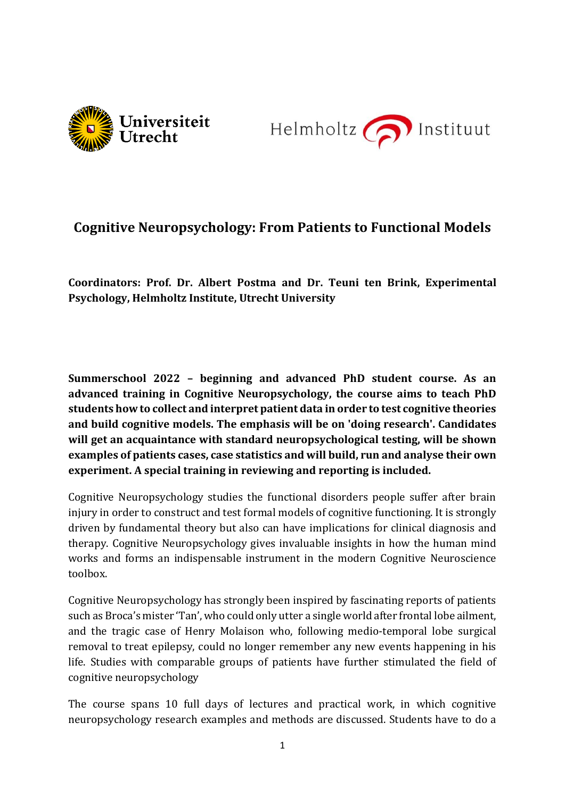



## **Cognitive Neuropsychology: From Patients to Functional Models**

**Coordinators: Prof. Dr. Albert Postma and Dr. Teuni ten Brink, Experimental Psychology, Helmholtz Institute, Utrecht University**

**Summerschool 2022 – beginning and advanced PhD student course. As an advanced training in Cognitive Neuropsychology, the course aims to teach PhD students how to collect and interpret patient data in order to test cognitive theories and build cognitive models. The emphasis will be on 'doing research'. Candidates will get an acquaintance with standard neuropsychological testing, will be shown examples of patients cases, case statistics and will build, run and analyse their own experiment. A special training in reviewing and reporting is included.**

Cognitive Neuropsychology studies the functional disorders people suffer after brain injury in order to construct and test formal models of cognitive functioning. It is strongly driven by fundamental theory but also can have implications for clinical diagnosis and therapy. Cognitive Neuropsychology gives invaluable insights in how the human mind works and forms an indispensable instrument in the modern Cognitive Neuroscience toolbox.

Cognitive Neuropsychology has strongly been inspired by fascinating reports of patients such as Broca's mister 'Tan', who could only utter a single world after frontal lobe ailment, and the tragic case of Henry Molaison who, following medio-temporal lobe surgical removal to treat epilepsy, could no longer remember any new events happening in his life. Studies with comparable groups of patients have further stimulated the field of cognitive neuropsychology

The course spans 10 full days of lectures and practical work, in which cognitive neuropsychology research examples and methods are discussed. Students have to do a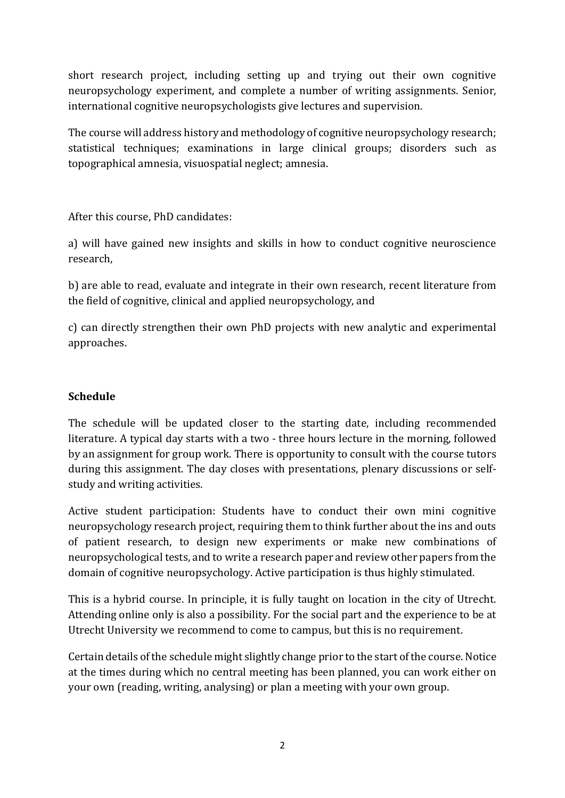short research project, including setting up and trying out their own cognitive neuropsychology experiment, and complete a number of writing assignments. Senior, international cognitive neuropsychologists give lectures and supervision.

The course will address history and methodology of cognitive neuropsychology research; statistical techniques; examinations in large clinical groups; disorders such as topographical amnesia, visuospatial neglect; amnesia.

After this course, PhD candidates:

a) will have gained new insights and skills in how to conduct cognitive neuroscience research,

b) are able to read, evaluate and integrate in their own research, recent literature from the field of cognitive, clinical and applied neuropsychology, and

c) can directly strengthen their own PhD projects with new analytic and experimental approaches.

## **Schedule**

The schedule will be updated closer to the starting date, including recommended literature. A typical day starts with a two - three hours lecture in the morning, followed by an assignment for group work. There is opportunity to consult with the course tutors during this assignment. The day closes with presentations, plenary discussions or selfstudy and writing activities.

Active student participation: Students have to conduct their own mini cognitive neuropsychology research project, requiring them to think further about the ins and outs of patient research, to design new experiments or make new combinations of neuropsychological tests, and to write a research paper and review other papers from the domain of cognitive neuropsychology. Active participation is thus highly stimulated.

This is a hybrid course. In principle, it is fully taught on location in the city of Utrecht. Attending online only is also a possibility. For the social part and the experience to be at Utrecht University we recommend to come to campus, but this is no requirement.

Certain details of the schedule might slightly change prior to the start of the course. Notice at the times during which no central meeting has been planned, you can work either on your own (reading, writing, analysing) or plan a meeting with your own group.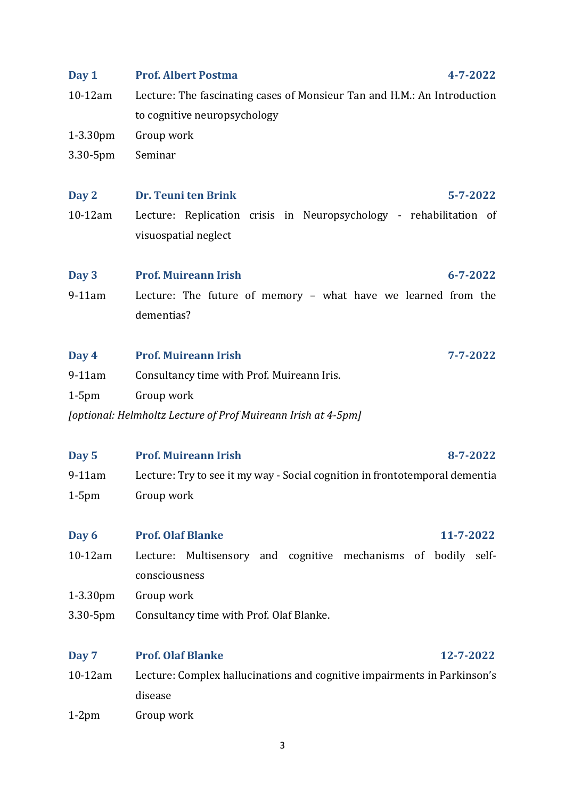| Day 1                                                         | <b>Prof. Albert Postma</b><br>4-7-2022                                                                   |  |  |
|---------------------------------------------------------------|----------------------------------------------------------------------------------------------------------|--|--|
| $10-12$ am                                                    | Lecture: The fascinating cases of Monsieur Tan and H.M.: An Introduction<br>to cognitive neuropsychology |  |  |
| $1-3.30$ pm                                                   | Group work                                                                                               |  |  |
| 3.30-5pm                                                      | Seminar                                                                                                  |  |  |
| Day 2                                                         | Dr. Teuni ten Brink<br>$5 - 7 - 2022$                                                                    |  |  |
| $10-12$ am                                                    | Lecture: Replication crisis in Neuropsychology - rehabilitation of                                       |  |  |
|                                                               | visuospatial neglect                                                                                     |  |  |
| Day 3                                                         | <b>Prof. Muireann Irish</b><br>$6 - 7 - 2022$                                                            |  |  |
| $9-11$ am                                                     | Lecture: The future of memory - what have we learned from the                                            |  |  |
|                                                               | dementias?                                                                                               |  |  |
| Day 4                                                         | <b>Prof. Muireann Irish</b><br>7-7-2022                                                                  |  |  |
| $9-11$ am                                                     | Consultancy time with Prof. Muireann Iris.                                                               |  |  |
| $1-5$ pm                                                      | Group work                                                                                               |  |  |
| [optional: Helmholtz Lecture of Prof Muireann Irish at 4-5pm] |                                                                                                          |  |  |
| Day 5                                                         | <b>Prof. Muireann Irish</b><br>8-7-2022                                                                  |  |  |
| $9-11$ am                                                     | Lecture: Try to see it my way - Social cognition in frontotemporal dementia                              |  |  |
| $1-5$ pm                                                      | Group work                                                                                               |  |  |
| Day 6                                                         | <b>Prof. Olaf Blanke</b><br>11-7-2022                                                                    |  |  |
| $10-12am$                                                     | Lecture: Multisensory and cognitive mechanisms of<br>bodily self-<br>consciousness                       |  |  |
| $1-3.30$ pm                                                   | Group work                                                                                               |  |  |
| 3.30-5pm                                                      | Consultancy time with Prof. Olaf Blanke.                                                                 |  |  |
|                                                               |                                                                                                          |  |  |
| Day 7                                                         | <b>Prof. Olaf Blanke</b><br>12-7-2022                                                                    |  |  |
| 10-12am                                                       | Lecture: Complex hallucinations and cognitive impairments in Parkinson's<br>disease                      |  |  |

1-2pm Group work